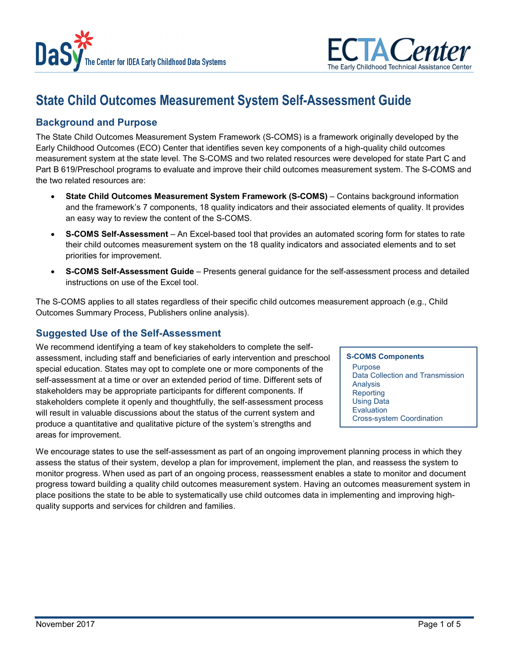



# **State Child Outcomes Measurement System Self-Assessment Guide**

# **Background and Purpose**

The State Child Outcomes Measurement System Framework (S-COMS) is a framework originally developed by the Early Childhood Outcomes (ECO) Center that identifies seven key components of a high-quality child outcomes measurement system at the state level. The S-COMS and two related resources were developed for state Part C and Part B 619/Preschool programs to evaluate and improve their child outcomes measurement system. The S-COMS and the two related resources are:

- **State Child Outcomes Measurement System Framework (S-COMS) Contains background information** and the framework's 7 components, 18 quality indicators and their associated elements of quality. It provides an easy way to review the content of the S-COMS.
- **S-COMS Self-Assessment** An Excel-based tool that provides an automated scoring form for states to rate their child outcomes measurement system on the 18 quality indicators and associated elements and to set priorities for improvement.
- **S-COMS Self-Assessment Guide** Presents general guidance for the self-assessment process and detailed instructions on use of the Excel tool.

The S-COMS applies to all states regardless of their specific child outcomes measurement approach (e.g., Child Outcomes Summary Process, Publishers online analysis).

# **Suggested Use of the Self-Assessment**

We recommend identifying a team of key stakeholders to complete the selfassessment, including staff and beneficiaries of early intervention and preschool special education. States may opt to complete one or more components of the self-assessment at a time or over an extended period of time. Different sets of stakeholders may be appropriate participants for different components. If stakeholders complete it openly and thoughtfully, the self-assessment process will result in valuable discussions about the status of the current system and produce a quantitative and qualitative picture of the system's strengths and areas for improvement.

**S-COMS Components** Purpose Data Collection and Transmission Analysis **Reporting** Using Data **Evaluation** Cross-system Coordination

We encourage states to use the self-assessment as part of an ongoing improvement planning process in which they assess the status of their system, develop a plan for improvement, implement the plan, and reassess the system to monitor progress. When used as part of an ongoing process, reassessment enables a state to monitor and document progress toward building a quality child outcomes measurement system. Having an outcomes measurement system in place positions the state to be able to systematically use child outcomes data in implementing and improving highquality supports and services for children and families.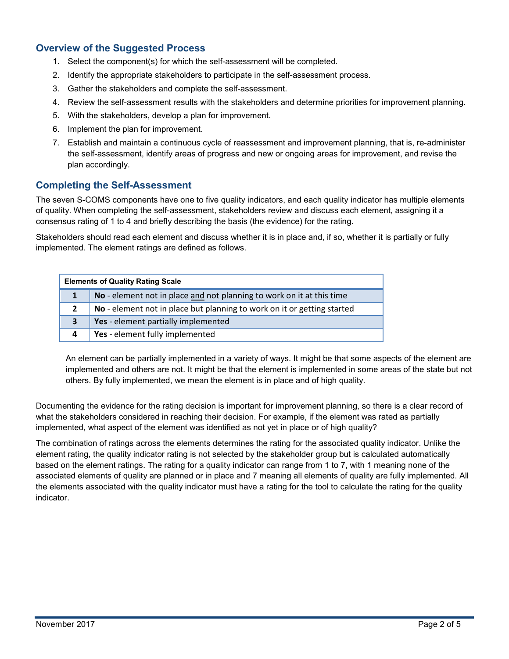# **Overview of the Suggested Process**

- 1. Select the component(s) for which the self-assessment will be completed.
- 2. Identify the appropriate stakeholders to participate in the self-assessment process.
- 3. Gather the stakeholders and complete the self-assessment.
- 4. Review the self-assessment results with the stakeholders and determine priorities for improvement planning.
- 5. With the stakeholders, develop a plan for improvement.
- 6. Implement the plan for improvement.
- 7. Establish and maintain a continuous cycle of reassessment and improvement planning, that is, re-administer the self-assessment, identify areas of progress and new or ongoing areas for improvement, and revise the plan accordingly.

## **Completing the Self-Assessment**

The seven S-COMS components have one to five quality indicators, and each quality indicator has multiple elements of quality. When completing the self-assessment, stakeholders review and discuss each element, assigning it a consensus rating of 1 to 4 and briefly describing the basis (the evidence) for the rating.

Stakeholders should read each element and discuss whether it is in place and, if so, whether it is partially or fully implemented. The element ratings are defined as follows.

| <b>Elements of Quality Rating Scale</b> |                                                                         |
|-----------------------------------------|-------------------------------------------------------------------------|
|                                         | No - element not in place and not planning to work on it at this time   |
| $\overline{2}$                          | No - element not in place but planning to work on it or getting started |
| 3                                       | Yes - element partially implemented                                     |
| 4                                       | Yes - element fully implemented                                         |

An element can be partially implemented in a variety of ways. It might be that some aspects of the element are implemented and others are not. It might be that the element is implemented in some areas of the state but not others. By fully implemented, we mean the element is in place and of high quality.

Documenting the evidence for the rating decision is important for improvement planning, so there is a clear record of what the stakeholders considered in reaching their decision. For example, if the element was rated as partially implemented, what aspect of the element was identified as not yet in place or of high quality?

The combination of ratings across the elements determines the rating for the associated quality indicator. Unlike the element rating, the quality indicator rating is not selected by the stakeholder group but is calculated automatically based on the element ratings. The rating for a quality indicator can range from 1 to 7, with 1 meaning none of the associated elements of quality are planned or in place and 7 meaning all elements of quality are fully implemented. All the elements associated with the quality indicator must have a rating for the tool to calculate the rating for the quality indicator.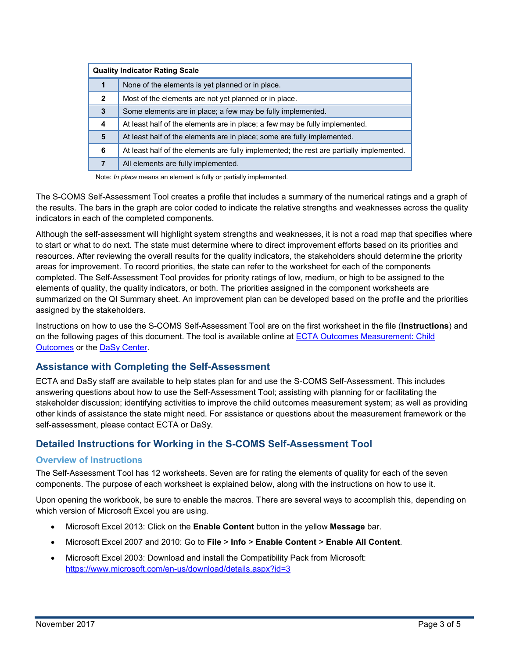| <b>Quality Indicator Rating Scale</b> |                                                                                          |
|---------------------------------------|------------------------------------------------------------------------------------------|
| 1                                     | None of the elements is yet planned or in place.                                         |
| $\mathbf{2}$                          | Most of the elements are not yet planned or in place.                                    |
| 3                                     | Some elements are in place; a few may be fully implemented.                              |
| 4                                     | At least half of the elements are in place; a few may be fully implemented.              |
| 5                                     | At least half of the elements are in place; some are fully implemented.                  |
| 6                                     | At least half of the elements are fully implemented; the rest are partially implemented. |
|                                       | All elements are fully implemented.                                                      |

Note: *In place* means an element is fully or partially implemented.

The S-COMS Self-Assessment Tool creates a profile that includes a summary of the numerical ratings and a graph of the results. The bars in the graph are color coded to indicate the relative strengths and weaknesses across the quality indicators in each of the completed components.

Although the self-assessment will highlight system strengths and weaknesses, it is not a road map that specifies where to start or what to do next. The state must determine where to direct improvement efforts based on its priorities and resources. After reviewing the overall results for the quality indicators, the stakeholders should determine the priority areas for improvement. To record priorities, the state can refer to the worksheet for each of the components completed. The Self-Assessment Tool provides for priority ratings of low, medium, or high to be assigned to the elements of quality, the quality indicators, or both. The priorities assigned in the component worksheets are summarized on the QI Summary sheet. An improvement plan can be developed based on the profile and the priorities assigned by the stakeholders.

Instructions on how to use the S-COMS Self-Assessment Tool are on the first worksheet in the file (**Instructions**) and on the following pages of this document. The tool is available online at [ECTA Outcomes Measurement: Child](http://ectacenter.org/eco/pages/childoutcomes.asp#frameworks)  [Outcomes](http://ectacenter.org/eco/pages/childoutcomes.asp#frameworks) or the [DaSy Center.](http://dasycenter.org/)

# **Assistance with Completing the Self-Assessment**

ECTA and DaSy staff are available to help states plan for and use the S-COMS Self-Assessment. This includes answering questions about how to use the Self-Assessment Tool; assisting with planning for or facilitating the stakeholder discussion; identifying activities to improve the child outcomes measurement system; as well as providing other kinds of assistance the state might need. For assistance or questions about the measurement framework or the self-assessment, please contact ECTA or DaSy.

# **Detailed Instructions for Working in the S-COMS Self-Assessment Tool**

## **Overview of Instructions**

The Self-Assessment Tool has 12 worksheets. Seven are for rating the elements of quality for each of the seven components. The purpose of each worksheet is explained below, along with the instructions on how to use it.

Upon opening the workbook, be sure to enable the macros. There are several ways to accomplish this, depending on which version of Microsoft Excel you are using.

- Microsoft Excel 2013: Click on the **Enable Content** button in the yellow **Message** bar.
- Microsoft Excel 2007 and 2010: Go to **File** > **Info** > **Enable Content** > **Enable All Content**.
- Microsoft Excel 2003: Download and install the Compatibility Pack from Microsoft: <https://www.microsoft.com/en-us/download/details.aspx?id=3>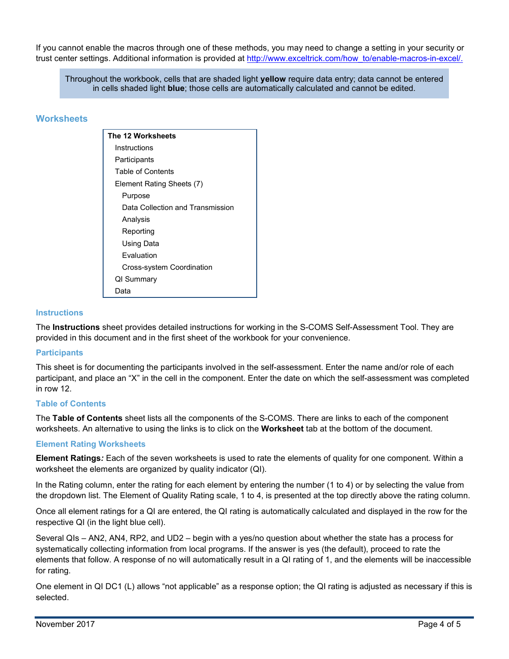If you cannot enable the macros through one of these methods, you may need to change a setting in your security or trust center settings. Additional information is provided at [http://www.exceltrick.com/how\\_to/enable-macros-in-excel/.](http://www.exceltrick.com/how_to/enable-macros-in-excel/)

Throughout the workbook, cells that are shaded light **yellow** require data entry; data cannot be entered in cells shaded light **blue**; those cells are automatically calculated and cannot be edited.

## **Worksheets**

**The 12 Worksheets Instructions Participants** Table of Contents Element Rating Sheets (7) Purpose Data Collection and Transmission Analysis Reporting Using Data Evaluation Cross-system Coordination QI Summary Data

#### **Instructions**

The **Instructions** sheet provides detailed instructions for working in the S-COMS Self-Assessment Tool. They are provided in this document and in the first sheet of the workbook for your convenience.

#### **Participants**

This sheet is for documenting the participants involved in the self-assessment. Enter the name and/or role of each participant, and place an "X" in the cell in the component. Enter the date on which the self-assessment was completed in row 12.

#### **Table of Contents**

The **Table of Contents** sheet lists all the components of the S-COMS. There are links to each of the component worksheets. An alternative to using the links is to click on the **Worksheet** tab at the bottom of the document.

#### **Element Rating Worksheets**

**Element Ratings***:* Each of the seven worksheets is used to rate the elements of quality for one component. Within a worksheet the elements are organized by quality indicator (QI).

In the Rating column, enter the rating for each element by entering the number (1 to 4) or by selecting the value from the dropdown list. The Element of Quality Rating scale, 1 to 4, is presented at the top directly above the rating column.

Once all element ratings for a QI are entered, the QI rating is automatically calculated and displayed in the row for the respective QI (in the light blue cell).

Several QIs – AN2, AN4, RP2, and UD2 – begin with a yes/no question about whether the state has a process for systematically collecting information from local programs. If the answer is yes (the default), proceed to rate the elements that follow. A response of no will automatically result in a QI rating of 1, and the elements will be inaccessible for rating.

One element in QI DC1 (L) allows "not applicable" as a response option; the QI rating is adjusted as necessary if this is selected.